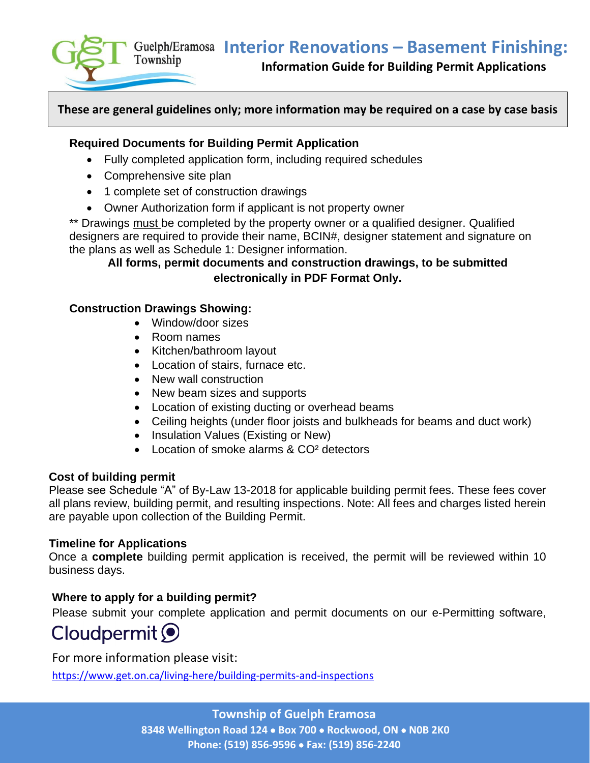**Interior Renovations – Basement Finishing:**



 **Information Guide for Building Permit Applications** 

## **These are general guidelines only; more information may be required on a case by case basis**

#### **Required Documents for Building Permit Application**

- Fully completed application form, including required schedules
- Comprehensive site plan
- 1 complete set of construction drawings
- Owner Authorization form if applicant is not property owner

\*\* Drawings must be completed by the property owner or a qualified designer. Qualified designers are required to provide their name, BCIN#, designer statement and signature on the plans as well as Schedule 1: Designer information.

# **All forms, permit documents and construction drawings, to be submitted electronically in PDF Format Only.**

### **Construction Drawings Showing:**

- Window/door sizes
- Room names
- Kitchen/bathroom layout
- Location of stairs, furnace etc.
- New wall construction
- New beam sizes and supports
- Location of existing ducting or overhead beams
- Ceiling heights (under floor joists and bulkheads for beams and duct work)
- Insulation Values (Existing or New)
- Location of smoke alarms & CO<sup>2</sup> detectors

#### **Cost of building permit**

Please see Schedule "A" of By-Law 13-2018 for applicable building permit fees. These fees cover all plans review, building permit, and resulting inspections. Note: All fees and charges listed herein are payable upon collection of the Building Permit.

#### **Timeline for Applications**

Once a **complete** building permit application is received, the permit will be reviewed within 10 business days.

#### **Where to apply for a building permit?**

Please submit your complete application and permit documents on our e-Permitting software,

# Cloudpermit O

For more information please visit:

<https://www.get.on.ca/living-here/building-permits-and-inspections>

**Township of Guelph Eramosa 8348 Wellington Road 124** • **Box 700** • **Rockwood, ON** • **N0B 2K0 Phone: (519) 856-9596** • **Fax: (519) 856-2240**